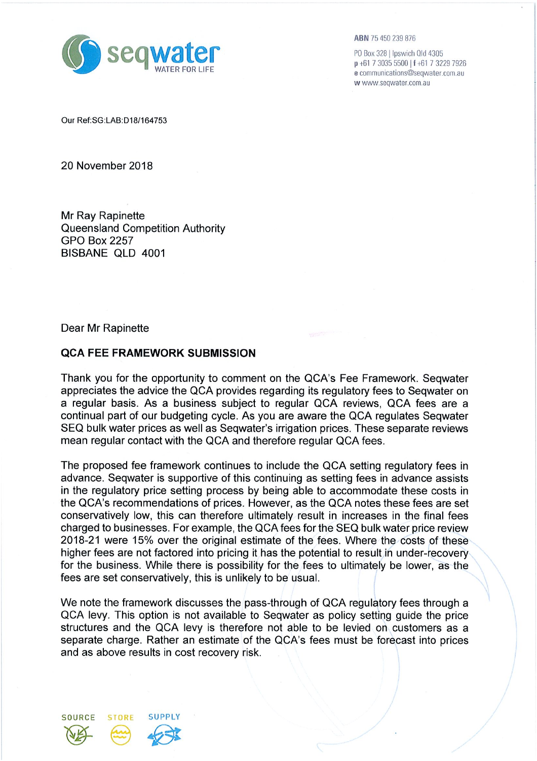

**ABN** 75 450 239 876

P0 Box 328 | Ipswich Qld 4305 p +61 7 3035 5500 | f +61 7 3229 7926 e communications@seqwater.com.au w www.seqwater.com.au

Our Ref;SG:LAB;D18/164753

20 November 2018

Mr Ray Rapinette Queensland Competition Authority GPO Box 2257 BISBANE QLD 4001

Dear Mr Rapinette

## **QCA FEE FRAMEWORK SUBMISSION**

Thank you for the opportunity to comment on the QCA's Fee Framework. Seqwater appreciates the advice the QCA provides regarding its regulatory fees to Seqwater on a regular basis. As a business subject to regular QCA reviews, QCA fees are a continual part of our budgeting cycle. As you are aware the QCA regulates Seqwater SEQ bulk water prices as well as Seqwater's irrigation prices. These separate reviews mean regular contact with the QCA and therefore regular QCA fees.

The proposed fee framework continues to include the QCA setting regulatory fees in advance. Seqwater is supportive of this continuing as setting fees in advance assists in the regulatory price setting process by being able to accommodate these costs in the QCA's recommendations of prices. However, as the QCA notes these fees are set conservatively low, this can therefore ultimately result in increases in the final fees charged to businesses. For example, the QCA fees for the SEQ bulk water price review 2018-21 were 15% over the original estimate of the fees. Where the costs of these higher fees are not factored into pricing it has the potential to result in under-recovery for the business. While there is possibility for the fees to ultimately be lower, as the fees are set conservatively, this is unlikely to be usual.

We note the framework discusses the pass-through of QCA regulatory fees through a QCA levy. This option is not available to Seqwater as policy setting guide the price structures and the QCA levy is therefore not able to be levied on customers as a separate charge. Rather an estimate of the QCA's fees must be forecast into prices and as above results in cost recovery risk.